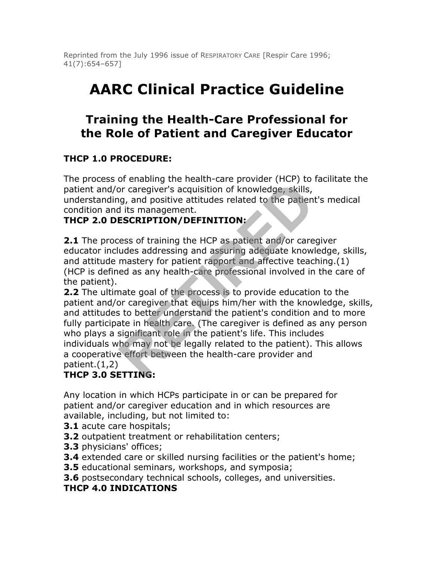Reprinted from the July 1996 issue of RESPIRATORY CARE [Respir Care 1996; 41(7):654–657]

# **AARC Clinical Practice Guideline**

# **Training the Health-Care Professional for the Role of Patient and Caregiver Educator**

# **THCP 1.0 PROCEDURE:**

The process of enabling the health-care provider (HCP) to facilitate the patient and/or caregiver's acquisition of knowledge, skills, understanding, and positive attitudes related to the patient's medical condition and its management.

#### **THCP 2.0 DESCRIPTION/DEFINITION:**

**2.1** The process of training the HCP as patient and/or caregiver educator includes addressing and assuring adequate knowledge, skills, and attitude mastery for patient rapport and affective teaching.(1) (HCP is defined as any health-care professional involved in the care of the patient).

**2.2** The ultimate goal of the process is to provide education to the patient and/or caregiver that equips him/her with the knowledge, skills, and attitudes to better understand the patient's condition and to more fully participate in health care. (The caregiver is defined as any person who plays a significant role in the patient's life. This includes individuals who may not be legally related to the patient). This allows a cooperative effort between the health-care provider and patient.(1,2) or caregiver's acquisition of knowledge, skills, and positive attitudes related to the patient discussed its management.<br>**ESCRIPTION/DEFINITION:**<br>ess of training the HCP as patient and/or care udes addressing and assuring

# **THCP 3.0 SETTING:**

Any location in which HCPs participate in or can be prepared for patient and/or caregiver education and in which resources are available, including, but not limited to:

- **3.1** acute care hospitals;
- **3.2** outpatient treatment or rehabilitation centers;
- **3.3** physicians' offices;
- **3.4** extended care or skilled nursing facilities or the patient's home;
- **3.5** educational seminars, workshops, and symposia;
- **3.6** postsecondary technical schools, colleges, and universities.

#### **THCP 4.0 INDICATIONS**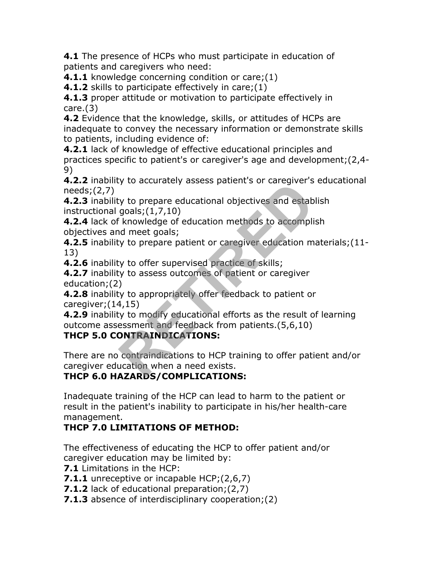**4.1** The presence of HCPs who must participate in education of patients and caregivers who need:

**4.1.1** knowledge concerning condition or care; (1)

**4.1.2** skills to participate effectively in care; (1)

**4.1.3** proper attitude or motivation to participate effectively in care.(3)

**4.2** Evidence that the knowledge, skills, or attitudes of HCPs are inadequate to convey the necessary information or demonstrate skills to patients, including evidence of:

**4.2.1** lack of knowledge of effective educational principles and practices specific to patient's or caregiver's age and development;(2,4- 9)

**4.2.2** inability to accurately assess patient's or caregiver's educational needs;(2,7)

**4.2.3** inability to prepare educational objectives and establish instructional goals;(1,7,10)

**4.2.4** lack of knowledge of education methods to accomplish objectives and meet goals;

**4.2.5** inability to prepare patient or caregiver education materials;(11- 13)

**4.2.6** inability to offer supervised practice of skills;

**4.2.7** inability to assess outcomes of patient or caregiver education;(2)

**4.2.8** inability to appropriately offer feedback to patient or caregiver;(14,15)

**4.2.9** inability to modify educational efforts as the result of learning outcome assessment and feedback from patients.(5,6,10) ry to accurately assess patients of caregiver's<br>goals; (1,7,10)<br>knowledge of education methods to accompli<br>id meet goals;<br>xy to prepare patient or caregiver education m<br>xy to offer supervised practice of skills;<br>xy to asse

#### **THCP 5.0 CONTRAINDICATIONS:**

There are no contraindications to HCP training to offer patient and/or caregiver education when a need exists.

# **THCP 6.0 HAZARDS/COMPLICATIONS:**

Inadequate training of the HCP can lead to harm to the patient or result in the patient's inability to participate in his/her health-care management.

# **THCP 7.0 LIMITATIONS OF METHOD:**

The effectiveness of educating the HCP to offer patient and/or caregiver education may be limited by:

- **7.1** Limitations in the HCP:
- **7.1.1** unreceptive or incapable HCP; (2,6,7)
- **7.1.2** lack of educational preparation;(2,7)
- **7.1.3** absence of interdisciplinary cooperation;(2)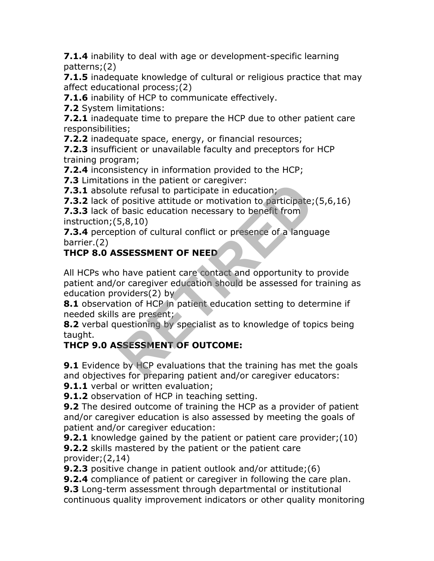**7.1.4** inability to deal with age or development-specific learning patterns;(2)

**7.1.5** inadequate knowledge of cultural or religious practice that may affect educational process;(2)

**7.1.6** inability of HCP to communicate effectively.

**7.2** System limitations:

**7.2.1** inadequate time to prepare the HCP due to other patient care responsibilities;

**7.2.2** inadequate space, energy, or financial resources;

**7.2.3** insufficient or unavailable faculty and preceptors for HCP training program;

**7.2.4** inconsistency in information provided to the HCP;

**7.3** Limitations in the patient or caregiver:

**7.3.1** absolute refusal to participate in education;

**7.3.2** lack of positive attitude or motivation to participate; (5,6,16)

**7.3.3** lack of basic education necessary to benefit from instruction;(5,8,10)

**7.3.4** perception of cultural conflict or presence of a language barrier.(2)

# **THCP 8.0 ASSESSMENT OF NEED**

All HCPs who have patient care contact and opportunity to provide patient and/or caregiver education should be assessed for training as education providers(2) by Its in the patent of categover.<br>
te refusal to participate in education;<br>
Fositive attitude or motivation to participate;<br>
Fasic education necessary to benefit from<br>
5,8,10)<br>
tion of cultural conflict or presence of a lang

**8.1** observation of HCP in patient education setting to determine if needed skills are present;

**8.2** verbal questioning by specialist as to knowledge of topics being taught.

# **THCP 9.0 ASSESSMENT OF OUTCOME:**

**9.1** Evidence by HCP evaluations that the training has met the goals and objectives for preparing patient and/or caregiver educators:

**9.1.1** verbal or written evaluation;

**9.1.2** observation of HCP in teaching setting.

**9.2** The desired outcome of training the HCP as a provider of patient and/or caregiver education is also assessed by meeting the goals of patient and/or caregiver education:

**9.2.1** knowledge gained by the patient or patient care provider; (10) **9.2.2** skills mastered by the patient or the patient care provider;(2,14)

**9.2.3** positive change in patient outlook and/or attitude; (6)

**9.2.4** compliance of patient or caregiver in following the care plan.

**9.3** Long-term assessment through departmental or institutional continuous quality improvement indicators or other quality monitoring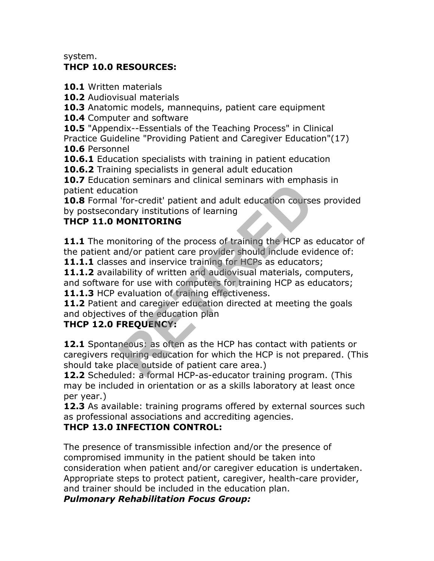system.

#### **THCP 10.0 RESOURCES:**

**10.1** Written materials

**10.2** Audiovisual materials

**10.3** Anatomic models, mannequins, patient care equipment

**10.4** Computer and software

**10.5** "Appendix--Essentials of the Teaching Process" in Clinical

Practice Guideline "Providing Patient and Caregiver Education"(17) **10.6** Personnel

**10.6.1** Education specialists with training in patient education

**10.6.2** Training specialists in general adult education

**10.7** Education seminars and clinical seminars with emphasis in patient education

**10.8** Formal 'for-credit' patient and adult education courses provided by postsecondary institutions of learning

# **THCP 11.0 MONITORING**

**11.1** The monitoring of the process of training the HCP as educator of the patient and/or patient care provider should include evidence of:

**11.1.1** classes and inservice training for HCPs as educators;

**11.1.2** availability of written and audiovisual materials, computers, and software for use with computers for training HCP as educators; 11.1.3 HCP evaluation of training effectiveness.

**11.2** Patient and caregiver education directed at meeting the goals

and objectives of the education plan

#### **THCP 12.0 FREQUENCY:**

**12.1** Spontaneous: as often as the HCP has contact with patients or caregivers requiring education for which the HCP is not prepared. (This should take place outside of patient care area.) ation<br>
"for-credit" patient and adult education course<br>
dary institutions of learning<br> **MONITORING**<br>
mitoring of the process of training the HCP as<br>
and/or patient care provider should include evi<br>
es and inservice trainin

**12.2** Scheduled: a formal HCP-as-educator training program. (This may be included in orientation or as a skills laboratory at least once per year.)

**12.3** As available: training programs offered by external sources such as professional associations and accrediting agencies.

#### **THCP 13.0 INFECTION CONTROL:**

The presence of transmissible infection and/or the presence of compromised immunity in the patient should be taken into consideration when patient and/or caregiver education is undertaken. Appropriate steps to protect patient, caregiver, health-care provider, and trainer should be included in the education plan.

*Pulmonary Rehabilitation Focus Group:*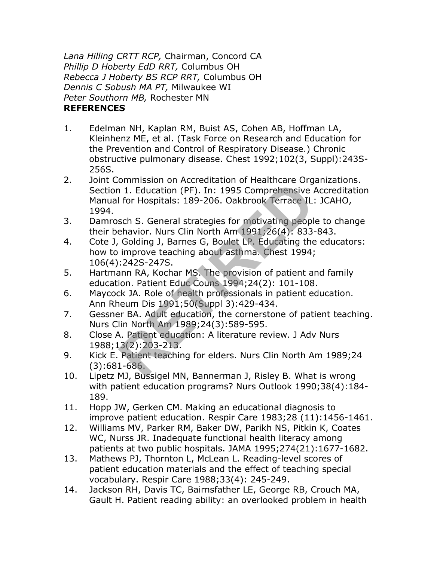*Lana Hilling CRTT RCP,* Chairman, Concord CA *Phillip D Hoberty EdD RRT,* Columbus OH *Rebecca J Hoberty BS RCP RRT,* Columbus OH *Dennis C Sobush MA PT,* Milwaukee WI *Peter Southorn MB,* Rochester MN **REFERENCES**

- 1. Edelman NH, Kaplan RM, Buist AS, Cohen AB, Hoffman LA, Kleinhenz ME, et al. (Task Force on Research and Education for the Prevention and Control of Respiratory Disease.) Chronic obstructive pulmonary disease. Chest 1992;102(3, Suppl):243S-256S.
- 2. Joint Commission on Accreditation of Healthcare Organizations. Section 1. Education (PF). In: 1995 Comprehensive Accreditation Manual for Hospitals: 189-206. Oakbrook Terrace IL: JCAHO, 1994. 1. Education (PF). In: 1995 Comprehensive and the selection of Heater<br>
I for Hospitals: 189-206. Oakbrook Terrace IL:<br>
sch S. General strategies for motivating people<br>
helavior. Nurs Clin North Am 1991;26(4): 833-<br>
Golding
- 3. Damrosch S. General strategies for motivating people to change their behavior. Nurs Clin North Am 1991;26(4): 833-843.
- 4. Cote J, Golding J, Barnes G, Boulet LP. Educating the educators: how to improve teaching about asthma. Chest 1994; 106(4):242S-247S.
- 5. Hartmann RA, Kochar MS. The provision of patient and family education. Patient Educ Couns 1994;24(2): 101-108.
- 6. Maycock JA. Role of health professionals in patient education. Ann Rheum Dis 1991;50(Suppl 3):429-434.
- 7. Gessner BA. Adult education, the cornerstone of patient teaching. Nurs Clin North Am 1989;24(3):589-595.
- 8. Close A. Patient education: A literature review. J Adv Nurs 1988;13(2):203-213.
- 9. Kick E. Patient teaching for elders. Nurs Clin North Am 1989;24 (3):681-686.
- 10. Lipetz MJ, Bussigel MN, Bannerman J, Risley B. What is wrong with patient education programs? Nurs Outlook 1990;38(4):184- 189.
- 11. Hopp JW, Gerken CM. Making an educational diagnosis to improve patient education. Respir Care 1983;28 (11):1456-1461.
- 12. Williams MV, Parker RM, Baker DW, Parikh NS, Pitkin K, Coates WC, Nurss JR. Inadequate functional health literacy among patients at two public hospitals. JAMA 1995;274(21):1677-1682.
- 13. Mathews PJ, Thornton L, McLean L. Reading-level scores of patient education materials and the effect of teaching special vocabulary. Respir Care 1988;33(4): 245-249.
- 14. Jackson RH, Davis TC, Bairnsfather LE, George RB, Crouch MA, Gault H. Patient reading ability: an overlooked problem in health